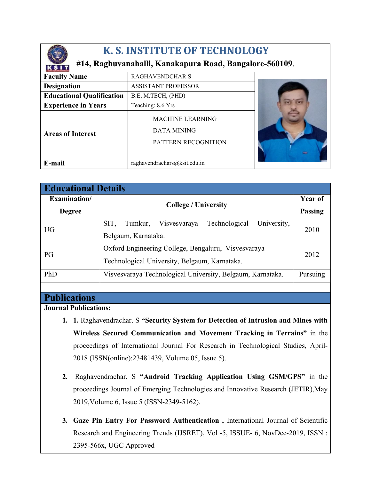

# **K. S. INSTITUTE OF TECHNOLOGY**

## **#14, Raghuvanahalli, Kanakapura Road, Bangalore-560109**.

| K 1.181717077.47.77CNN840G7      |                                                                      |             |
|----------------------------------|----------------------------------------------------------------------|-------------|
| <b>Faculty Name</b>              | <b>RAGHAVENDCHAR S</b>                                               |             |
| <b>Designation</b>               | <b>ASSISTANT PROFESSOR</b>                                           |             |
| <b>Educational Qualification</b> | B.E, M.TECH, (PHD)                                                   |             |
| <b>Experience in Years</b>       | Teaching: 8.6 Yrs                                                    |             |
| <b>Areas of Interest</b>         | <b>MACHINE LEARNING</b><br><b>DATA MINING</b><br>PATTERN RECOGNITION | $rac{1}{2}$ |
| E-mail                           | raghavendrachars@ksit.edu.in                                         |             |

| <b>Educational Details</b> |                                                                 |                |  |
|----------------------------|-----------------------------------------------------------------|----------------|--|
| Examination/               | <b>College / University</b>                                     | <b>Year of</b> |  |
| <b>Degree</b>              |                                                                 | <b>Passing</b> |  |
| UG.                        | University,<br>SIT,<br>Technological<br>Visvesvaraya<br>Tumkur, | 2010           |  |
|                            | Belgaum, Karnataka.                                             |                |  |
| PG                         | Oxford Engineering College, Bengaluru, Visvesvaraya             | 2012           |  |
|                            | Technological University, Belgaum, Karnataka.                   |                |  |
| PhD                        | Visvesvaraya Technological University, Belgaum, Karnataka.      | Pursuing       |  |

## **Publications**

**Journal Publications:**

- **1. 1.** Raghavendrachar. S **"Security System for Detection of Intrusion and Mines with Wireless Secured Communication and Movement Tracking in Terrains"** in the proceedings of International Journal For Research in Technological Studies, April-2018 (ISSN(online):23481439, Volume 05, Issue 5).
- **2.** Raghavendrachar. S **"Android Tracking Application Using GSM/GPS"** in the proceedings Journal of Emerging Technologies and Innovative Research (JETIR),May 2019,Volume 6, Issue 5 (ISSN-2349-5162).
- **3. Gaze Pin Entry For Password Authentication ,** International Journal of Scientific Research and Engineering Trends (IJSRET), Vol -5, ISSUE- 6, NovDec-2019, ISSN : 2395-566x, UGC Approved